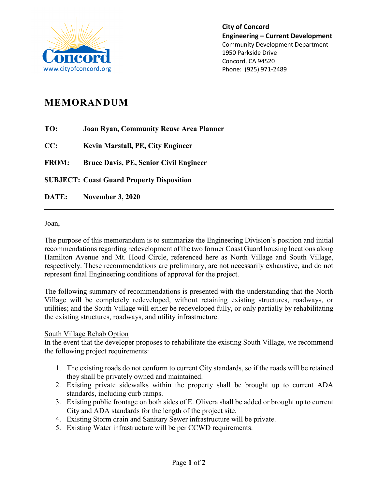

**City of Concord Engineering – Current Development** Community Development Department 1950 Parkside Drive Concord, CA 94520 Phone: (925) 971-2489

## **MEMORANDUM**

**TO: Joan Ryan, Community Reuse Area Planner**

**CC: Kevin Marstall, PE, City Engineer**

**FROM: Bruce Davis, PE, Senior Civil Engineer**

**SUBJECT: Coast Guard Property Disposition**

**DATE: November 3, 2020**

Joan,

The purpose of this memorandum is to summarize the Engineering Division's position and initial recommendations regarding redevelopment of the two former Coast Guard housing locations along Hamilton Avenue and Mt. Hood Circle, referenced here as North Village and South Village, respectively. These recommendations are preliminary, are not necessarily exhaustive, and do not represent final Engineering conditions of approval for the project.

The following summary of recommendations is presented with the understanding that the North Village will be completely redeveloped, without retaining existing structures, roadways, or utilities; and the South Village will either be redeveloped fully, or only partially by rehabilitating the existing structures, roadways, and utility infrastructure.

## South Village Rehab Option

In the event that the developer proposes to rehabilitate the existing South Village, we recommend the following project requirements:

- 1. The existing roads do not conform to current City standards, so if the roads will be retained they shall be privately owned and maintained.
- 2. Existing private sidewalks within the property shall be brought up to current ADA standards, including curb ramps.
- 3. Existing public frontage on both sides of E. Olivera shall be added or brought up to current City and ADA standards for the length of the project site.
- 4. Existing Storm drain and Sanitary Sewer infrastructure will be private.
- 5. Existing Water infrastructure will be per CCWD requirements.